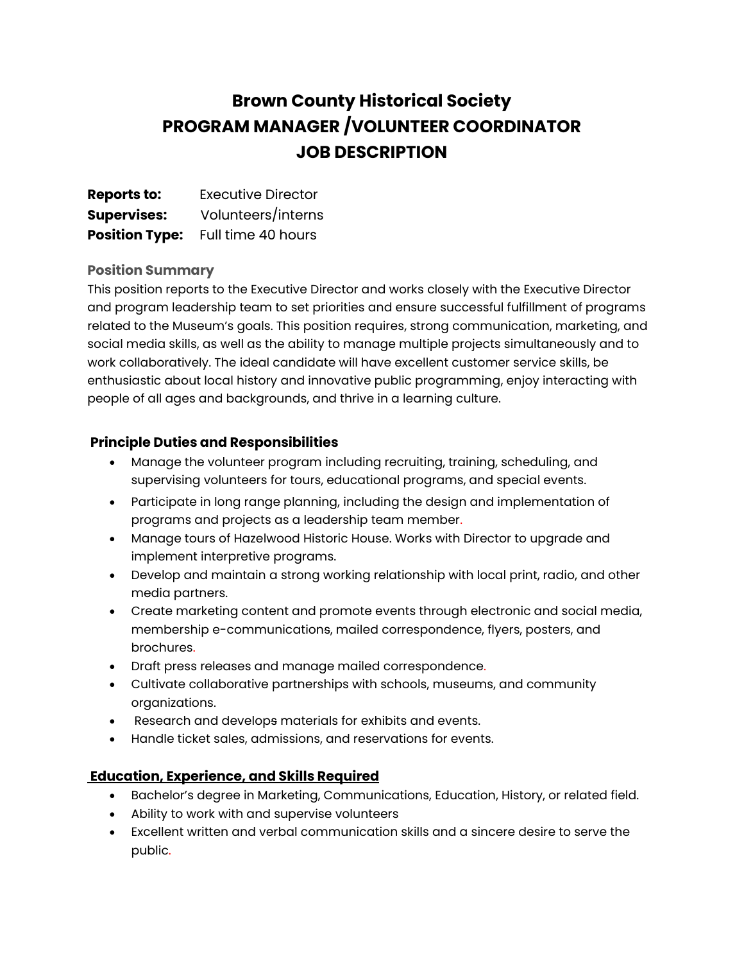## **Brown County Historical Society PROGRAM MANAGER /VOLUNTEER COORDINATOR JOB DESCRIPTION**

| <b>Reports to:</b>    | <b>Executive Director</b> |
|-----------------------|---------------------------|
| <b>Supervises:</b>    | Volunteers/interns        |
| <b>Position Type:</b> | Full time 40 hours        |

## **Position Summary**

This position reports to the Executive Director and works closely with the Executive Director and program leadership team to set priorities and ensure successful fulfillment of programs related to the Museum's goals. This position requires, strong communication, marketing, and social media skills, as well as the ability to manage multiple projects simultaneously and to work collaboratively. The ideal candidate will have excellent customer service skills, be enthusiastic about local history and innovative public programming, enjoy interacting with people of all ages and backgrounds, and thrive in a learning culture.

## **Principle Duties and Responsibilities**

- Manage the volunteer program including recruiting, training, scheduling, and supervising volunteers for tours, educational programs, and special events.
- Participate in long range planning, including the design and implementation of programs and projects as a leadership team member.
- Manage tours of Hazelwood Historic House. Works with Director to upgrade and implement interpretive programs.
- Develop and maintain a strong working relationship with local print, radio, and other media partners.
- Create marketing content and promote events through electronic and social media, membership e-communications, mailed correspondence, flyers, posters, and brochures.
- Draft press releases and manage mailed correspondence.
- Cultivate collaborative partnerships with schools, museums, and community organizations.
- Research and develops materials for exhibits and events.
- Handle ticket sales, admissions, and reservations for events.

## **Education, Experience, and Skills Required**

- Bachelor's degree in Marketing, Communications, Education, History, or related field.
- Ability to work with and supervise volunteers
- Excellent written and verbal communication skills and a sincere desire to serve the public.